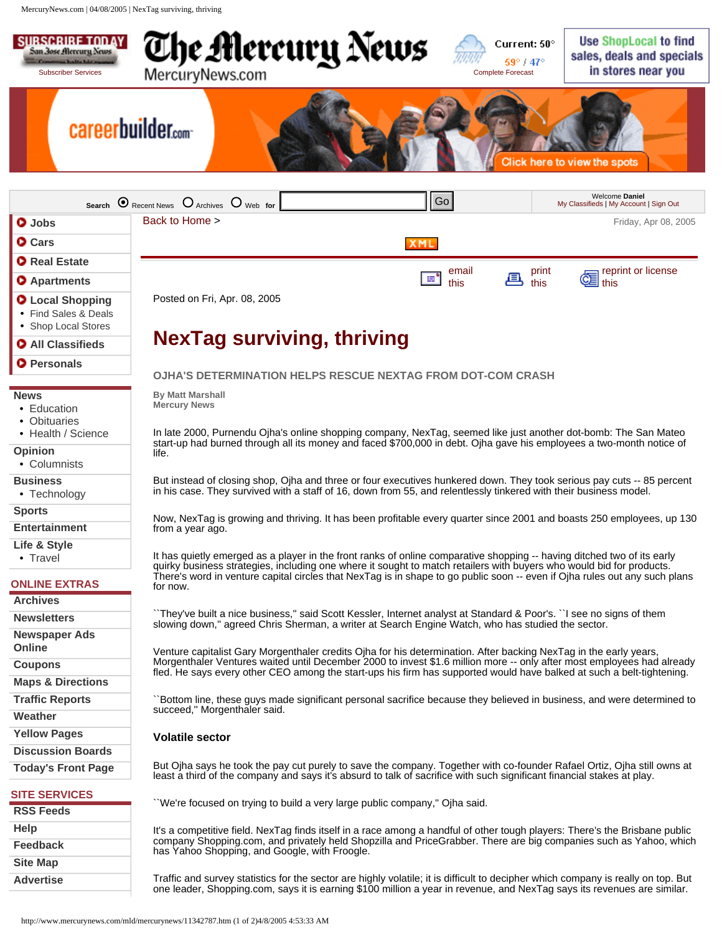